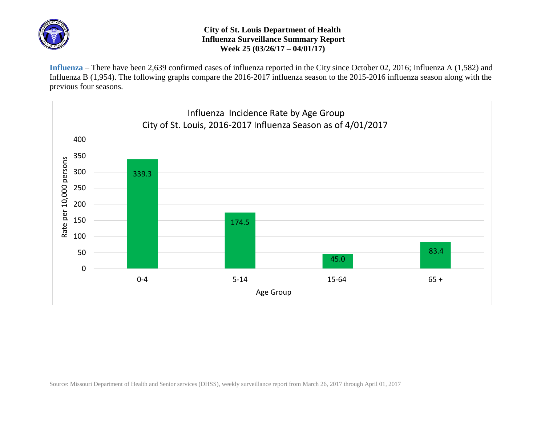

## **City of St. Louis Department of Health Influenza Surveillance Summary Report Week 25 (03/26/17 – 04/01/17)**

**Influenza** – There have been 2,639 confirmed cases of influenza reported in the City since October 02, 2016; Influenza A (1,582) and Influenza B (1,954). The following graphs compare the 2016-2017 influenza season to the 2015-2016 influenza season along with the previous four seasons.